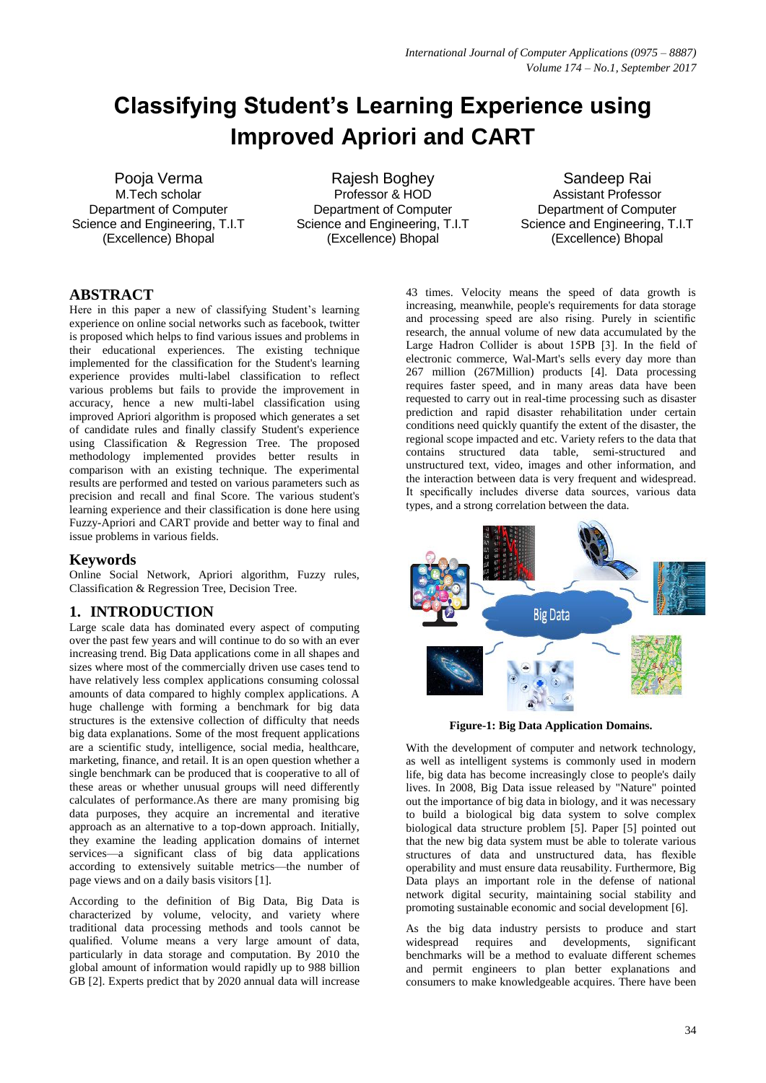# **Classifying Student's Learning Experience using Improved Apriori and CART**

Pooja Verma M.Tech scholar Department of Computer Science and Engineering, T.I.T (Excellence) Bhopal

Rajesh Boghey Professor & HOD Department of Computer Science and Engineering, T.I.T (Excellence) Bhopal

Sandeep Rai Assistant Professor Department of Computer Science and Engineering, T.I.T (Excellence) Bhopal

# **ABSTRACT**

Here in this paper a new of classifying Student's learning experience on online social networks such as facebook, twitter is proposed which helps to find various issues and problems in their educational experiences. The existing technique implemented for the classification for the Student's learning experience provides multi-label classification to reflect various problems but fails to provide the improvement in accuracy, hence a new multi-label classification using improved Apriori algorithm is proposed which generates a set of candidate rules and finally classify Student's experience using Classification & Regression Tree. The proposed methodology implemented provides better results in comparison with an existing technique. The experimental results are performed and tested on various parameters such as precision and recall and final Score. The various student's learning experience and their classification is done here using Fuzzy-Apriori and CART provide and better way to final and issue problems in various fields.

## **Keywords**

Online Social Network, Apriori algorithm, Fuzzy rules, Classification & Regression Tree, Decision Tree.

## **1. INTRODUCTION**

Large scale data has dominated every aspect of computing over the past few years and will continue to do so with an ever increasing trend. Big Data applications come in all shapes and sizes where most of the commercially driven use cases tend to have relatively less complex applications consuming colossal amounts of data compared to highly complex applications. A huge challenge with forming a benchmark for big data structures is the extensive collection of difficulty that needs big data explanations. Some of the most frequent applications are a scientific study, intelligence, social media, healthcare, marketing, finance, and retail. It is an open question whether a single benchmark can be produced that is cooperative to all of these areas or whether unusual groups will need differently calculates of performance.As there are many promising big data purposes, they acquire an incremental and iterative approach as an alternative to a top-down approach. Initially, they examine the leading application domains of internet services—a significant class of big data applications according to extensively suitable metrics—the number of page views and on a daily basis visitors [1].

According to the definition of Big Data, Big Data is characterized by volume, velocity, and variety where traditional data processing methods and tools cannot be qualified. Volume means a very large amount of data, particularly in data storage and computation. By 2010 the global amount of information would rapidly up to 988 billion GB [2]. Experts predict that by 2020 annual data will increase

43 times. Velocity means the speed of data growth is increasing, meanwhile, people's requirements for data storage and processing speed are also rising. Purely in scientific research, the annual volume of new data accumulated by the Large Hadron Collider is about 15PB [3]. In the field of electronic commerce, Wal-Mart's sells every day more than 267 million (267Million) products [4]. Data processing requires faster speed, and in many areas data have been requested to carry out in real-time processing such as disaster prediction and rapid disaster rehabilitation under certain conditions need quickly quantify the extent of the disaster, the regional scope impacted and etc. Variety refers to the data that contains structured data table, semi-structured and unstructured text, video, images and other information, and the interaction between data is very frequent and widespread. It specifically includes diverse data sources, various data types, and a strong correlation between the data.



**Figure-1: Big Data Application Domains.**

With the development of computer and network technology, as well as intelligent systems is commonly used in modern life, big data has become increasingly close to people's daily lives. In 2008, Big Data issue released by "Nature" pointed out the importance of big data in biology, and it was necessary to build a biological big data system to solve complex biological data structure problem [5]. Paper [5] pointed out that the new big data system must be able to tolerate various structures of data and unstructured data, has flexible operability and must ensure data reusability. Furthermore, Big Data plays an important role in the defense of national network digital security, maintaining social stability and promoting sustainable economic and social development [6].

As the big data industry persists to produce and start widespread requires and developments, significant benchmarks will be a method to evaluate different schemes and permit engineers to plan better explanations and consumers to make knowledgeable acquires. There have been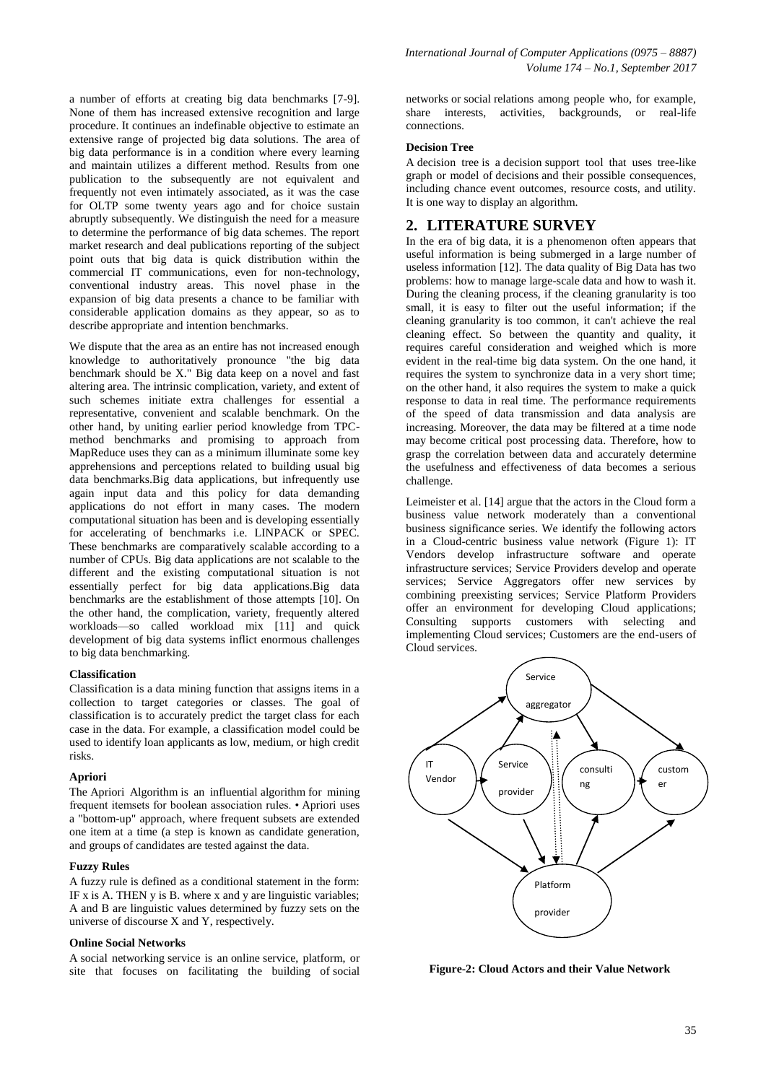a number of efforts at creating big data benchmarks [7-9]. None of them has increased extensive recognition and large procedure. It continues an indefinable objective to estimate an extensive range of projected big data solutions. The area of big data performance is in a condition where every learning and maintain utilizes a different method. Results from one publication to the subsequently are not equivalent and frequently not even intimately associated, as it was the case for OLTP some twenty years ago and for choice sustain abruptly subsequently. We distinguish the need for a measure to determine the performance of big data schemes. The report market research and deal publications reporting of the subject point outs that big data is quick distribution within the commercial IT communications, even for non-technology, conventional industry areas. This novel phase in the expansion of big data presents a chance to be familiar with considerable application domains as they appear, so as to describe appropriate and intention benchmarks.

We dispute that the area as an entire has not increased enough knowledge to authoritatively pronounce "the big data benchmark should be X." Big data keep on a novel and fast altering area. The intrinsic complication, variety, and extent of such schemes initiate extra challenges for essential a representative, convenient and scalable benchmark. On the other hand, by uniting earlier period knowledge from TPCmethod benchmarks and promising to approach from MapReduce uses they can as a minimum illuminate some key apprehensions and perceptions related to building usual big data benchmarks.Big data applications, but infrequently use again input data and this policy for data demanding applications do not effort in many cases. The modern computational situation has been and is developing essentially for accelerating of benchmarks i.e. LINPACK or SPEC. These benchmarks are comparatively scalable according to a number of CPUs. Big data applications are not scalable to the different and the existing computational situation is not essentially perfect for big data applications.Big data benchmarks are the establishment of those attempts [10]. On the other hand, the complication, variety, frequently altered workloads—so called workload mix [11] and quick development of big data systems inflict enormous challenges to big data benchmarking.

#### **Classification**

Classification is a data mining function that assigns items in a collection to target categories or classes. The goal of classification is to accurately predict the target class for each case in the data. For example, a classification model could be used to identify loan applicants as low, medium, or high credit risks.

#### **Apriori**

The Apriori Algorithm is an influential algorithm for mining frequent itemsets for boolean association rules. • Apriori uses a "bottom-up" approach, where frequent subsets are extended one item at a time (a step is known as candidate generation, and groups of candidates are tested against the data.

### **Fuzzy Rules**

A fuzzy rule is defined as a conditional statement in the form: IF x is A. THEN  $y$  is B. where x and  $y$  are linguistic variables; A and B are linguistic values determined by fuzzy sets on the universe of discourse X and Y, respectively.

#### **Online Social Networks**

A social networking service is an online service, platform, or site that focuses on facilitating the building of social

networks or social relations among people who, for example, share interests, activities, backgrounds, or real-life connections.

#### **Decision Tree**

A decision tree is a decision support tool that uses tree-like graph or model of decisions and their possible consequences, including chance event outcomes, resource costs, and utility. It is one way to display an algorithm.

## **2. LITERATURE SURVEY**

In the era of big data, it is a phenomenon often appears that useful information is being submerged in a large number of useless information [12]. The data quality of Big Data has two problems: how to manage large-scale data and how to wash it. During the cleaning process, if the cleaning granularity is too small, it is easy to filter out the useful information; if the cleaning granularity is too common, it can't achieve the real cleaning effect. So between the quantity and quality, it requires careful consideration and weighed which is more evident in the real-time big data system. On the one hand, it requires the system to synchronize data in a very short time; on the other hand, it also requires the system to make a quick response to data in real time. The performance requirements of the speed of data transmission and data analysis are increasing. Moreover, the data may be filtered at a time node may become critical post processing data. Therefore, how to grasp the correlation between data and accurately determine the usefulness and effectiveness of data becomes a serious challenge.

Leimeister et al. [14] argue that the actors in the Cloud form a business value network moderately than a conventional business significance series. We identify the following actors in a Cloud-centric business value network (Figure 1): IT Vendors develop infrastructure software and operate infrastructure services; Service Providers develop and operate services; Service Aggregators offer new services by combining preexisting services; Service Platform Providers offer an environment for developing Cloud applications; Consulting supports customers with selecting and implementing Cloud services; Customers are the end-users of Cloud services.



 **Figure-2: Cloud Actors and their Value Network**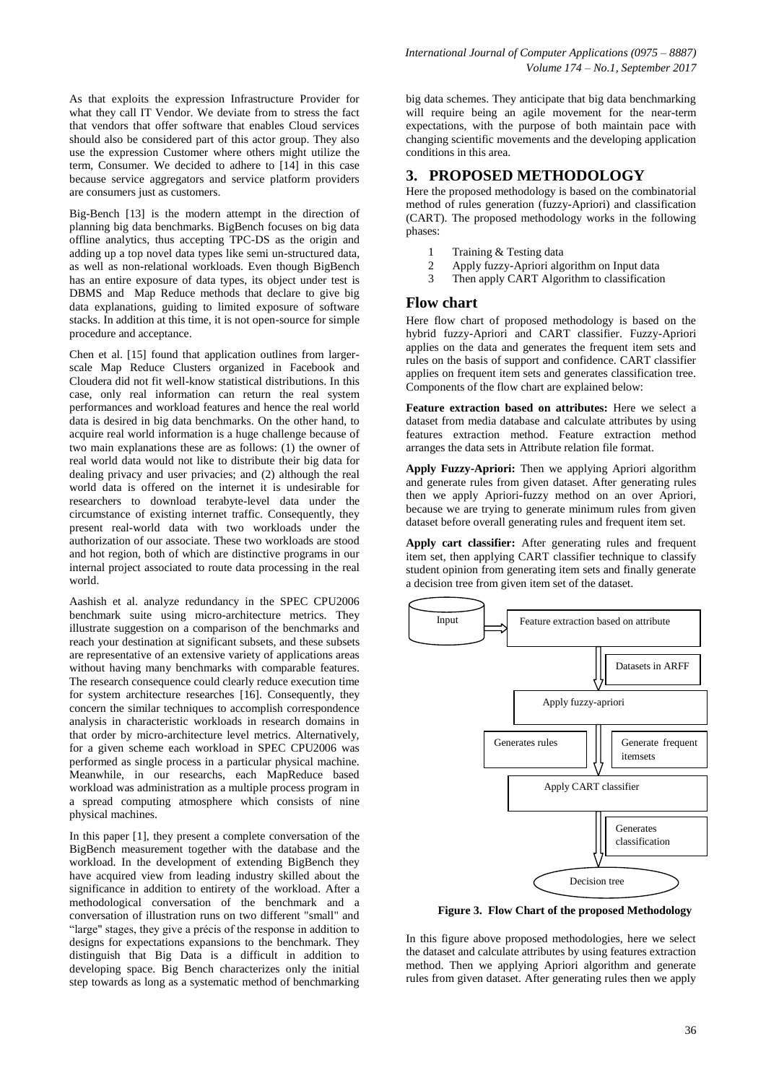As that exploits the expression Infrastructure Provider for what they call IT Vendor. We deviate from to stress the fact that vendors that offer software that enables Cloud services should also be considered part of this actor group. They also use the expression Customer where others might utilize the term, Consumer. We decided to adhere to [14] in this case because service aggregators and service platform providers are consumers just as customers.

Big-Bench [13] is the modern attempt in the direction of planning big data benchmarks. BigBench focuses on big data offline analytics, thus accepting TPC-DS as the origin and adding up a top novel data types like semi un-structured data, as well as non-relational workloads. Even though BigBench has an entire exposure of data types, its object under test is DBMS and Map Reduce methods that declare to give big data explanations, guiding to limited exposure of software stacks. In addition at this time, it is not open-source for simple procedure and acceptance.

Chen et al. [15] found that application outlines from largerscale Map Reduce Clusters organized in Facebook and Cloudera did not fit well-know statistical distributions. In this case, only real information can return the real system performances and workload features and hence the real world data is desired in big data benchmarks. On the other hand, to acquire real world information is a huge challenge because of two main explanations these are as follows: (1) the owner of real world data would not like to distribute their big data for dealing privacy and user privacies; and (2) although the real world data is offered on the internet it is undesirable for researchers to download terabyte-level data under the circumstance of existing internet traffic. Consequently, they present real-world data with two workloads under the authorization of our associate. These two workloads are stood and hot region, both of which are distinctive programs in our internal project associated to route data processing in the real world.

Aashish et al. analyze redundancy in the SPEC CPU2006 benchmark suite using micro-architecture metrics. They illustrate suggestion on a comparison of the benchmarks and reach your destination at significant subsets, and these subsets are representative of an extensive variety of applications areas without having many benchmarks with comparable features. The research consequence could clearly reduce execution time for system architecture researches [16]. Consequently, they concern the similar techniques to accomplish correspondence analysis in characteristic workloads in research domains in that order by micro-architecture level metrics. Alternatively, for a given scheme each workload in SPEC CPU2006 was performed as single process in a particular physical machine. Meanwhile, in our researchs, each MapReduce based workload was administration as a multiple process program in a spread computing atmosphere which consists of nine physical machines.

In this paper [1], they present a complete conversation of the BigBench measurement together with the database and the workload. In the development of extending BigBench they have acquired view from leading industry skilled about the significance in addition to entirety of the workload. After a methodological conversation of the benchmark and a conversation of illustration runs on two different "small" and "large" stages, they give a précis of the response in addition to designs for expectations expansions to the benchmark. They distinguish that Big Data is a difficult in addition to developing space. Big Bench characterizes only the initial step towards as long as a systematic method of benchmarking

big data schemes. They anticipate that big data benchmarking will require being an agile movement for the near-term expectations, with the purpose of both maintain pace with changing scientific movements and the developing application conditions in this area.

# **3. PROPOSED METHODOLOGY**

Here the proposed methodology is based on the combinatorial method of rules generation (fuzzy-Apriori) and classification (CART). The proposed methodology works in the following phases:

- 1 Training & Testing data
- 2 Apply fuzzy-Apriori algorithm on Input data
- 3 Then apply CART Algorithm to classification

## **Flow chart**

Here flow chart of proposed methodology is based on the hybrid fuzzy-Apriori and CART classifier. Fuzzy-Apriori applies on the data and generates the frequent item sets and rules on the basis of support and confidence. CART classifier applies on frequent item sets and generates classification tree. Components of the flow chart are explained below:

**Feature extraction based on attributes:** Here we select a dataset from media database and calculate attributes by using features extraction method. Feature extraction method arranges the data sets in Attribute relation file format.

**Apply Fuzzy-Apriori:** Then we applying Apriori algorithm and generate rules from given dataset. After generating rules then we apply Apriori-fuzzy method on an over Apriori, because we are trying to generate minimum rules from given dataset before overall generating rules and frequent item set.

**Apply cart classifier:** After generating rules and frequent item set, then applying CART classifier technique to classify student opinion from generating item sets and finally generate a decision tree from given item set of the dataset.



 **Figure 3. Flow Chart of the proposed Methodology**

In this figure above proposed methodologies, here we select the dataset and calculate attributes by using features extraction method. Then we applying Apriori algorithm and generate rules from given dataset. After generating rules then we apply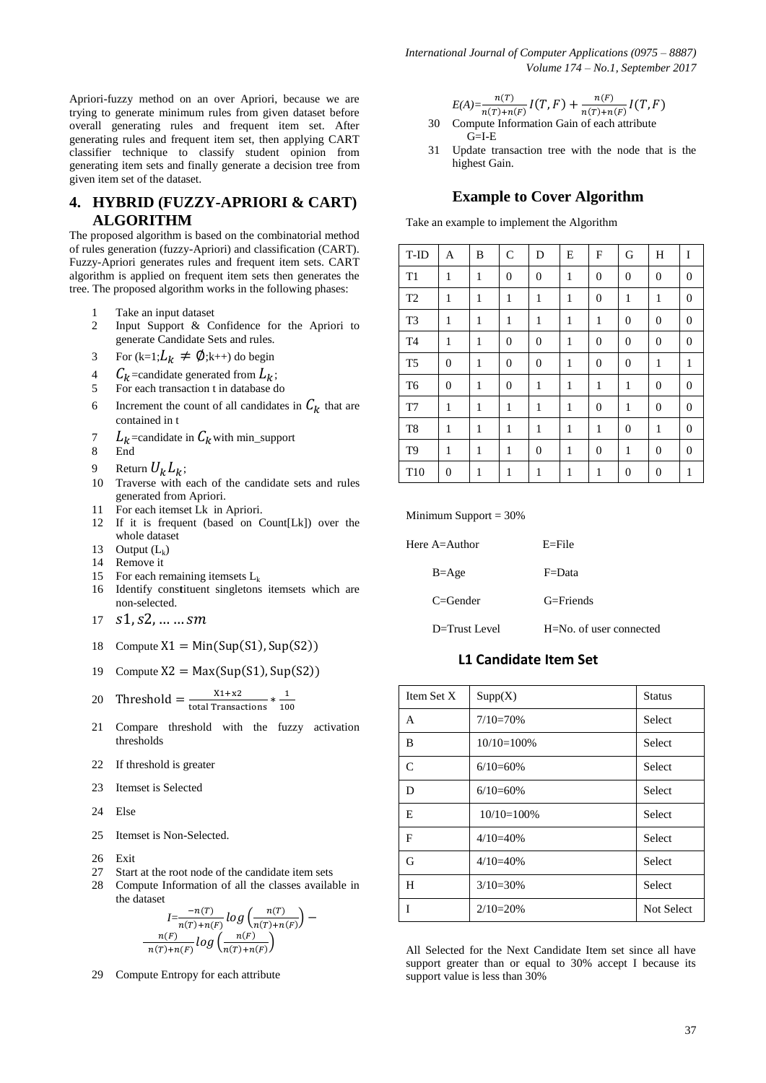*International Journal of Computer Applications (0975 – 8887) Volume 174 – No.1, September 2017*

Apriori-fuzzy method on an over Apriori, because we are trying to generate minimum rules from given dataset before overall generating rules and frequent item set. After generating rules and frequent item set, then applying CART classifier technique to classify student opinion from generating item sets and finally generate a decision tree from given item set of the dataset.

# **4. HYBRID (FUZZY-APRIORI & CART) ALGORITHM**

The proposed algorithm is based on the combinatorial method of rules generation (fuzzy-Apriori) and classification (CART). Fuzzy-Apriori generates rules and frequent item sets. CART algorithm is applied on frequent item sets then generates the tree. The proposed algorithm works in the following phases:

- 1 Take an input dataset
- 2 Input Support & Confidence for the Apriori to generate Candidate Sets and rules.
- 3 For  $(k=1; L_k \neq \emptyset; k++)$  do begin
- 4  $C_k$ =candidate generated from  $L_k$ ;
- 5 For each transaction t in database do
- 6 Increment the count of all candidates in  $\mathcal{C}_k$  that are contained in t
- 7  $L_k$ =candidate in  $C_k$  with min\_support
- 8 End
- 9 Return  $U_k L_k$ ;
- 10 Traverse with each of the candidate sets and rules generated from Apriori.
- 11 For each itemset Lk in Apriori.
- 12 If it is frequent (based on Count[Lk]) over the whole dataset
- 13 Output  $(L_k)$
- 14 Remove it
- 15 For each remaining itemsets  $L_k$
- 16 Identify constituent singletons itemsets which are non-selected.
- $17 \quad S1, S2, \ldots \ldots \, Sm$
- 18 Compute  $X1 = Min(Sup(S1), Sup(S2))$
- 19 Compute  $X2 = Max(Sup(S1), Sup(S2))$

20 Threshold = 
$$
\frac{X1 + X2}{\text{total Transactions}} * \frac{1}{100}
$$

- 21 Compare threshold with the fuzzy activation thresholds
- 22 If threshold is greater
- 23 Itemset is Selected
- 24 Else
- 25 Itemset is Non-Selected.
- 26 Exit<br>27 Star
- Start at the root node of the candidate item sets
- 28 Compute Information of all the classes available in the dataset

$$
\frac{I=\frac{-n(T)}{n(T)+n(F)}}{n(T)+n(F)}log\left(\frac{n(T)}{n(T)+n(F)}\right)-\frac{n(F)}{n(T)+n(F)}log\left(\frac{n(F)}{n(T)+n(F)}\right)
$$

29 Compute Entropy for each attribute

$$
E(A) = \frac{n(T)}{n(T) + n(F)} I(T, F) + \frac{n(F)}{n(T) + n(F)} I(T, F)
$$

- 30 Compute Information Gain of each attribute  $G=I-E$
- 31 Update transaction tree with the node that is the highest Gain.

#### **Example to Cover Algorithm**

Take an example to implement the Algorithm

| T-ID            | A            | B            | $\mathcal{C}$  | D                | E            | F                | G                | H                | I                |
|-----------------|--------------|--------------|----------------|------------------|--------------|------------------|------------------|------------------|------------------|
| T <sub>1</sub>  | $\mathbf{1}$ | $\mathbf{1}$ | $\mathbf{0}$   | $\boldsymbol{0}$ | $\mathbf{1}$ | $\boldsymbol{0}$ | $\overline{0}$   | $\boldsymbol{0}$ | $\boldsymbol{0}$ |
| T <sub>2</sub>  | 1            | 1            | 1              | $\mathbf{1}$     | 1            | $\boldsymbol{0}$ | $\mathbf{1}$     | 1                | $\boldsymbol{0}$ |
| T <sub>3</sub>  | 1            | 1            | $\mathbf{1}$   | 1                | 1            | $\mathbf{1}$     | $\overline{0}$   | $\mathbf{0}$     | $\boldsymbol{0}$ |
| T <sub>4</sub>  | 1            | 1            | $\overline{0}$ | $\boldsymbol{0}$ | 1            | $\mathbf{0}$     | $\overline{0}$   | $\boldsymbol{0}$ | $\boldsymbol{0}$ |
| T <sub>5</sub>  | $\mathbf{0}$ | 1            | $\mathbf{0}$   | $\boldsymbol{0}$ | 1            | $\mathbf{0}$     | $\overline{0}$   | $\mathbf{1}$     | $\mathbf{1}$     |
| T <sub>6</sub>  | $\mathbf{0}$ | 1            | $\overline{0}$ | 1                | 1            | 1                | 1                | $\boldsymbol{0}$ | $\boldsymbol{0}$ |
| T <sub>7</sub>  | 1            | 1            | 1              | 1                | 1            | $\boldsymbol{0}$ | 1                | $\mathbf{0}$     | $\boldsymbol{0}$ |
| T <sub>8</sub>  | 1            | 1            | 1              | 1                | 1            | 1                | $\overline{0}$   | $\mathbf{1}$     | $\boldsymbol{0}$ |
| T <sub>9</sub>  | 1            | 1            | 1              | $\boldsymbol{0}$ | 1            | $\mathbf{0}$     | 1                | $\boldsymbol{0}$ | $\boldsymbol{0}$ |
| T <sub>10</sub> | $\mathbf{0}$ | 1            | $\mathbf{1}$   | $\mathbf{1}$     | $\mathbf{1}$ | $\mathbf{1}$     | $\boldsymbol{0}$ | $\boldsymbol{0}$ | 1                |

Minimum Support  $= 30\%$ 

| Here $A =$ Author | $E =$ File              |
|-------------------|-------------------------|
| $B = Age$         | $F = Data$              |
| $C =$ Gender      | $G =$ Friends           |
| $D=$ Trust Level  | H=No, of user connected |

## **L1 Candidate Item Set**

| Item Set X | Supp(X)      | <b>Status</b>     |
|------------|--------------|-------------------|
| A          | $7/10=70%$   | <b>Select</b>     |
| B          | $10/10=100%$ | <b>Select</b>     |
| C          | $6/10=60%$   | Select            |
| D          | $6/10=60%$   | <b>Select</b>     |
| E          | $10/10=100%$ | Select            |
| F          | $4/10=40%$   | <b>Select</b>     |
| G          | $4/10=40%$   | <b>Select</b>     |
| H          | $3/10=30%$   | Select            |
| T          | $2/10=20%$   | <b>Not Select</b> |

All Selected for the Next Candidate Item set since all have support greater than or equal to 30% accept I because its support value is less than 30%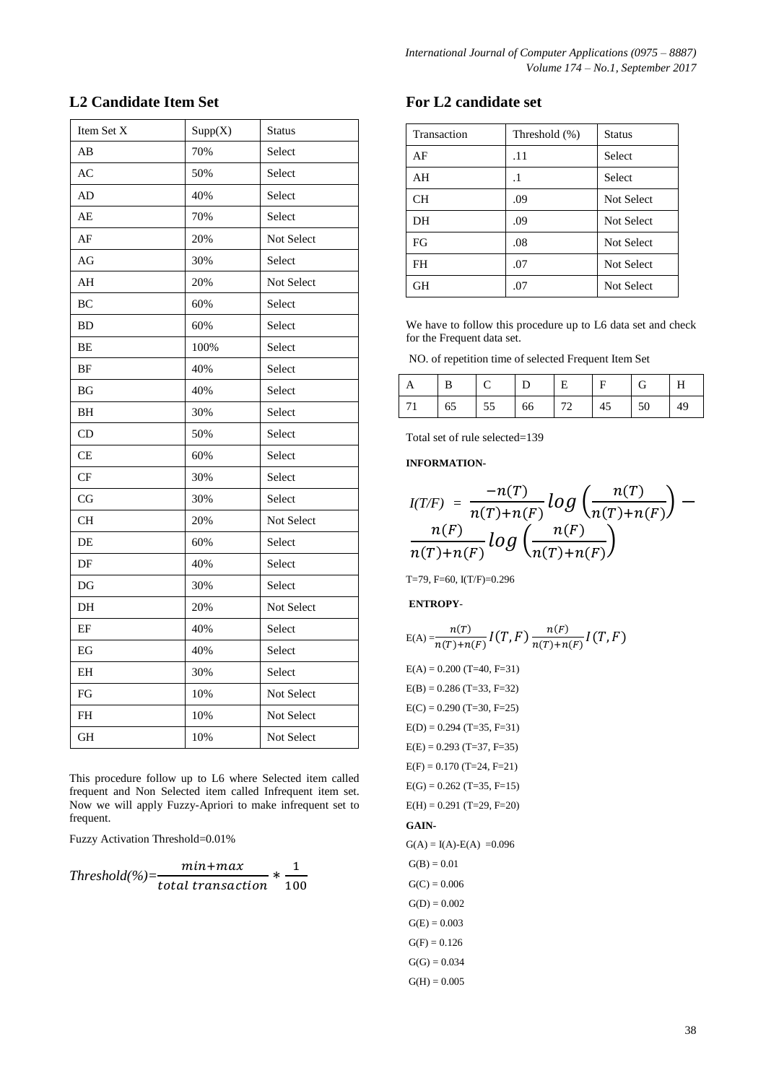# **L2 Candidate Item Set**

| Item Set X             | Supp(X) | <b>Status</b> |
|------------------------|---------|---------------|
| AB                     | 70%     | Select        |
| AC                     | 50%     | Select        |
| AD                     | 40%     | Select        |
| AE                     | 70%     | Select        |
| AF                     | 20%     | Not Select    |
| AG                     | 30%     | Select        |
| $\mathbf{A}\mathbf{H}$ | 20%     | Not Select    |
| BC                     | 60%     | Select        |
| BD                     | 60%     | Select        |
| BE                     | 100%    | Select        |
| $\rm{BF}$              | 40%     | Select        |
| BG                     | 40%     | Select        |
| ВH                     | 30%     | Select        |
| CD                     | 50%     | Select        |
| CE                     | 60%     | Select        |
| $\cal{CF}$             | 30%     | Select        |
| CG                     | 30%     | Select        |
| CН                     | 20%     | Not Select    |
| DE                     | 60%     | Select        |
| DF                     | 40%     | Select        |
| DG                     | 30%     | Select        |
| DH                     | 20%     | Not Select    |
| EF                     | 40%     | Select        |
| EG                     | 40%     | Select        |
| ΕH                     | 30%     | Select        |
| FG                     | 10%     | Not Select    |
| FH                     | 10%     | Not Select    |
| GH                     | 10%     | Not Select    |

This procedure follow up to L6 where Selected item called frequent and Non Selected item called Infrequent item set. Now we will apply Fuzzy-Apriori to make infrequent set to frequent.

Fuzzy Activation Threshold=0.01%

*Threshold*(%)= $\frac{m}{\cdot}$  $\frac{min + max}{total\ transaction} * \frac{1}{10}$  $\mathbf{1}$ 

# **For L2 candidate set**

| Transaction | Threshold (%) | <b>Status</b>     |
|-------------|---------------|-------------------|
| AF          | .11           | <b>Select</b>     |
| AH          | .1            | <b>Select</b>     |
| <b>CH</b>   | .09           | Not Select        |
| DH          | .09           | Not Select        |
| FG          | .08           | Not Select        |
| FH          | .07           | <b>Not Select</b> |
| <b>GH</b>   | .07           | <b>Not Select</b> |

We have to follow this procedure up to L6 data set and check for the Frequent data set.

NO. of repetition time of selected Frequent Item Set

|     |    |    |    | Þ. |    | G  |    |
|-----|----|----|----|----|----|----|----|
| 171 | 65 | 55 | 66 | 72 | 45 | 50 | 49 |

Total set of rule selected=139

**INFORMATION-**

$$
I(T/F) = \frac{-n(T)}{n(T)+n(F)}log\left(\frac{n(T)}{n(T)+n(F)}\right) - \frac{n(F)}{n(T)+n(F)}log\left(\frac{n(F)}{n(T)+n(F)}\right)
$$

T=79, F=60, I(T/F)=0.296

## **ENTROPY**-

$$
\mathrm{E}(\mathrm{A})\!=\!\!\frac{n(T)}{n(T)\!+\!n(F)}I\!\left(T,F\right)\frac{n(F)}{n(T)\!+\!n(F)}I\!\left(T,F\right)
$$

 $E(A) = 0.200$  (T=40, F=31)  $E(B) = 0.286$  (T=33, F=32)  $E(C) = 0.290$  (T=30, F=25)  $E(D) = 0.294$  (T=35, F=31)  $E(E) = 0.293$  (T=37, F=35)  $E(F) = 0.170$  (T=24, F=21)  $E(G) = 0.262$  (T=35, F=15)  $E(H) = 0.291$  (T=29, F=20) **GAIN-** $G(A) = I(A) - E(A) = 0.096$  $G(B) = 0.01$  $G(C) = 0.006$  $G(D) = 0.002$  $G(E) = 0.003$  $G(F) = 0.126$  $G(G) = 0.034$  $G(H) = 0.005$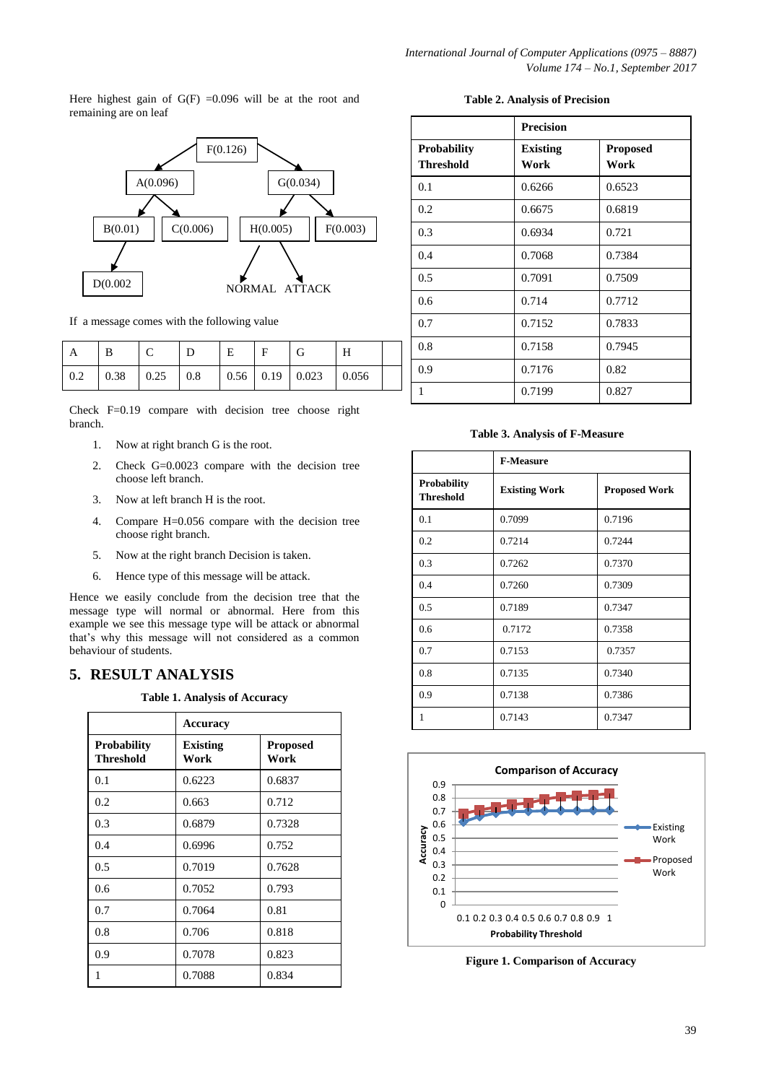Here highest gain of  $G(F) = 0.096$  will be at the root and remaining are on leaf



If a message comes with the following value

| А   |      |       |     | E |                       |       |  |
|-----|------|-------|-----|---|-----------------------|-------|--|
| 0.2 | 0.38 | 10.25 | 0.8 |   | $0.56$   0.19   0.023 | 0.056 |  |

Check F=0.19 compare with decision tree choose right branch.

- 1. Now at right branch G is the root.
- 2. Check G=0.0023 compare with the decision tree choose left branch.
- 3. Now at left branch H is the root.
- 4. Compare H=0.056 compare with the decision tree choose right branch.
- 5. Now at the right branch Decision is taken.
- 6. Hence type of this message will be attack.

Hence we easily conclude from the decision tree that the message type will normal or abnormal. Here from this example we see this message type will be attack or abnormal that's why this message will not considered as a common behaviour of students.

## **5. RESULT ANALYSIS**

**Table 1. Analysis of Accuracy**

|                                        | Accuracy                |                         |
|----------------------------------------|-------------------------|-------------------------|
| <b>Probability</b><br><b>Threshold</b> | <b>Existing</b><br>Work | <b>Proposed</b><br>Work |
| 0.1                                    | 0.6223                  | 0.6837                  |
| 0.2                                    | 0.663                   | 0.712                   |
| 0.3                                    | 0.6879                  | 0.7328                  |
| 0.4                                    | 0.6996                  | 0.752                   |
| 0.5                                    | 0.7019                  | 0.7628                  |
| 0.6                                    | 0.7052                  | 0.793                   |
| 0.7                                    | 0.7064                  | 0.81                    |
| 0.8                                    | 0.706                   | 0.818                   |
| 0.9                                    | 0.7078                  | 0.823                   |
| 1                                      | 0.7088                  | 0.834                   |

|  |  | <b>Table 2. Analysis of Precision</b> |
|--|--|---------------------------------------|
|--|--|---------------------------------------|

|                                        | <b>Precision</b>        |                         |
|----------------------------------------|-------------------------|-------------------------|
| <b>Probability</b><br><b>Threshold</b> | <b>Existing</b><br>Work | <b>Proposed</b><br>Work |
| 0.1                                    | 0.6266                  | 0.6523                  |
| 0.2                                    | 0.6675                  | 0.6819                  |
| 0.3                                    | 0.6934                  | 0.721                   |
| 0.4                                    | 0.7068                  | 0.7384                  |
| 0.5                                    | 0.7091                  | 0.7509                  |
| 0.6                                    | 0.714                   | 0.7712                  |
| 0.7                                    | 0.7152                  | 0.7833                  |
| 0.8                                    | 0.7158                  | 0.7945                  |
| 0.9                                    | 0.7176                  | 0.82                    |
| 1                                      | 0.7199                  | 0.827                   |

#### **Table 3. Analysis of F-Measure**

|                                        | <b>F-Measure</b>     |                      |
|----------------------------------------|----------------------|----------------------|
| <b>Probability</b><br><b>Threshold</b> | <b>Existing Work</b> | <b>Proposed Work</b> |
| 0.1                                    | 0.7099               | 0.7196               |
| 0.2                                    | 0.7214               | 0.7244               |
| 0.3                                    | 0.7262               | 0.7370               |
| 0.4                                    | 0.7260               | 0.7309               |
| 0.5                                    | 0.7189               | 0.7347               |
| 0.6                                    | 0.7172               | 0.7358               |
| 0.7                                    | 0.7153               | 0.7357               |
| 0.8                                    | 0.7135               | 0.7340               |
| 0.9                                    | 0.7138               | 0.7386               |
| 1                                      | 0.7143               | 0.7347               |



**Figure 1. Comparison of Accuracy**